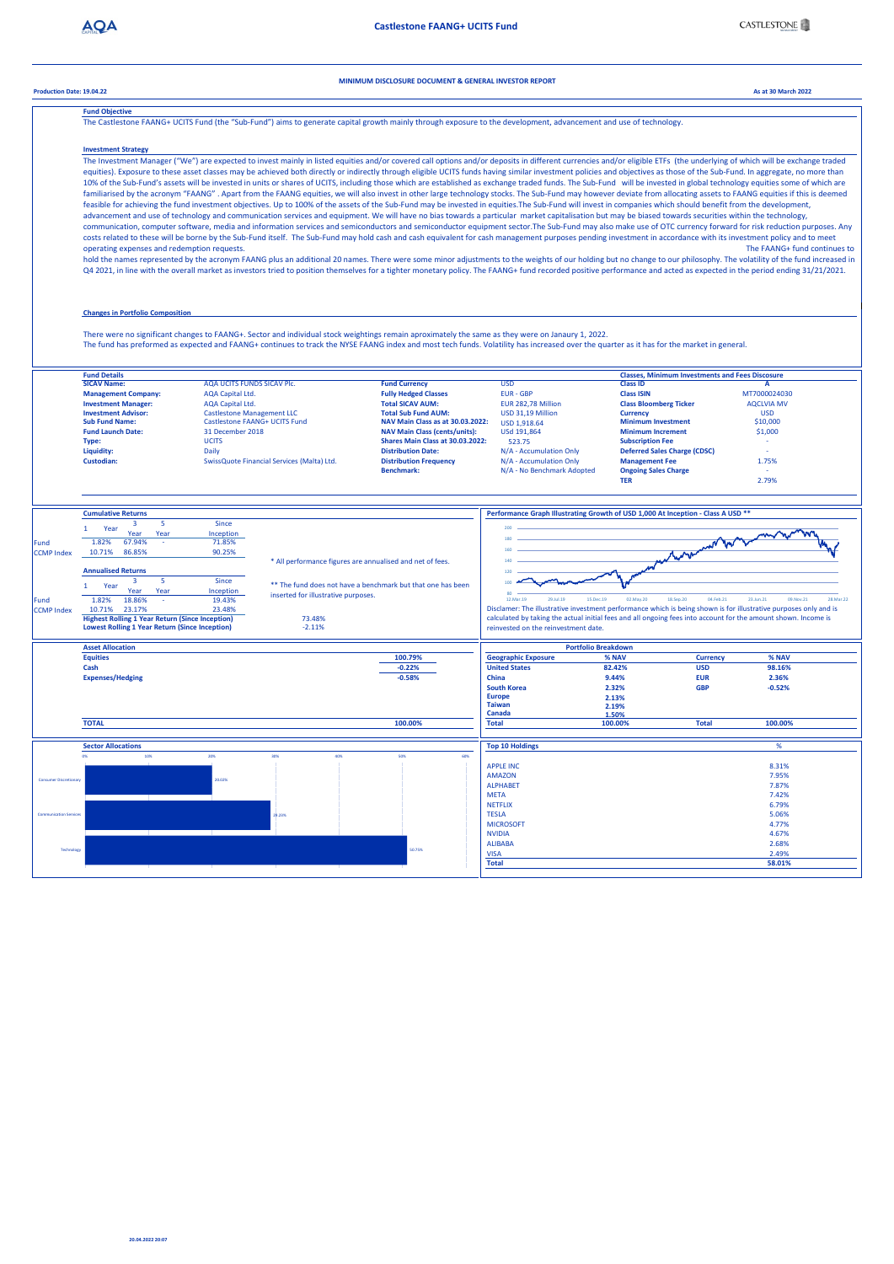**MINIMUM DISCLOSURE DOCUMENT & GENERAL INVESTOR REPORT**

**Production Date: 19.04.22 As at 30 March 2022**

**Fund Objective** estone FAANG+ UCITS Fund (the "Sub-Fund") aims to generate capital growth mainly through exposure to the development, advancement and use of technol

**Investment Strategy** The Investment Manager ("We") are expected to invest mainly in listed equities and/or covered call options and/or deposits in different currencies and/or eligible ETFs (the underlying of which will be exchange traded equities). Exposure to these asset classes may be achieved both directly or indirectly through eligible UCITS funds having similar investment policies and objectives as those of the Sub-Fund. In aggregate, no more than 10% of the Sub-Fund's assets will be invested in units or shares of UCITS, including those which are established as exchange traded funds. The Sub-Fund will be invested in global technology equities some of which are familiarised by the acronym "FAANG" . Apart from the FAANG equities, we will also invest in other large technology stocks. The Sub-Fund may however deviate from allocating assets to FAANG equities if this is deemed feasible for achieving the fund investment objectives. Up to 100% of the assets of the Sub-Fund may be invested in equities.The Sub-Fund will invest in companies which should benefit from the development, advancement and use of technology and communication services and equipment. We will have no bias towards a particular market capitalisation but may be biased towards securities within the technology, communication, computer software, media and information services and semiconductors and semiconductor equipment sector.The Sub-Fund may also make use of OTC currency forward for risk reduction purposes. Any costs related to these will be borne by the Sub-Fund itself. The Sub-Fund may hold cash and cash equivalent for cash management purposes pending investment in accordance with its investment policy and to meet<br>operating exp operating expenses and redemption requests. hold the names represented by the acronym FAANG plus an additional 20 names. There were some minor adjustments to the weights of our holding but no change to our philosophy. The volatility of the fund increased in Q4 2021, in line with the overall market as investors tried to position themselves for a tighter monetary policy. The FAANG+ fund recorded positive performance and acted as expected in the period ending 31/21/2021. **Changes in Portfolio Composition** There were no significant changes to FAANG+. Sector and individual stock weightings remain aproximately the same as they were on Janaury 1, 2022. The fund has preformed as expected and FAANG+ continues to track the NYSE FAANG index and most tech funds. Volatility has increased over the quarter as it has for the market in general. **SICAV NAME:** CALCON CONSTRUES AGA UCITS FUNDS SICAV PIC.<br>
SICAV A SICAV PLC.<br> **SICAV A CALCONSTRUES AGA CALCONS ACCONSTRUES AND A CALCONSTRUES AND A CALCONSTRUES AND A A CALCONSTRUES AND A<br>
<b>FUR** - GRP Class ISIN CHARAGE **Fund Details Classes, Minimum Investments and Fees Discosure Management Company:** AQA Capital Ltd. **Fully Hedged Classes** EUR - GBP **Class ISIN** MT7000024030 **Investment Manager:** AQA Capital Ltd. **Total SICAV AUM:** EUR 282,78 Million **Class Bloomberg Ticker** AQCLVIA MV Castlestone Management LLC<br>Castlestone FAANG+ UCITS Fund<br>31 December 2018 Investment Advisor: Castlestone Management LLC **Total Sub Fund AUM:** USD 31,19 Million Currency Currency USD USD<br>Sub Fund Name: Castlestone FAANG+ UCITS Fund NAV Main Class as at 3<mark>0.03.2022:</mark> USD 1.918.64 Minimum Investme **Fund Launch Date:** 31 December 2018 **NAV Main Class (cents/units):** USd 191,864 **Minimum Increment** \$1,000 Liquidity: Data Date: Date: Date: Date: Date: Date: Date: Date: Date: Date: Date: Date: Date: Date: Date: Date: Date: Date: Date: Date: Date: Date: Date: Date: Date: Date: Date: Date: Date: Date: Date: Date: Date: Date: **Type:** UCITS **Shares Main Class at 30.03.2022:** 523.75 **Subscription Fee** - SwissQuote Financial Services (Malta) Ltd. **Distribution Frequency** N/A - Accumulation Only **Benchmark**: **M**<br>**Benchmark:** N/A - No Benchmark Adopted **Benchmark:** Ongoing Sales Charge **TER** 2.79% **Cumulative Returns Performance Graph Illustrating Growth of USD 1,000 At Inception - Class A USD \*\*** 1 Year <sup>3</sup> 5 **Since** 200 Morrison War Year Inception **67 94%** 180 Fund 1.82% 67.94% - 71.85% ccMP Index 10.71% 86.85% 90.25% 160 \* All performance figures are annualised and net of fees. 140 **Annualised Returns** 120 \*\* The fund does not have a benchmark but that one has been 1 Year 5 Since 100 Year<br>18.86 Year nception<br>19.43% inserted for illustrative purpose 80 Fund 1.82% 18.86% 19.43%<br>CCMP Index 10.71% 23.17% 23.17% 23.48%<br>**Highest Rolling 1 Year Return (Since Inception)** 73.48%<br>**Lowest Rolling 1 Year Return (Since Inception)** -2.11% 12.Mar.19 29.Jul.19 15.Dec.19 02.May.20 18.Sep.20 04.Feb.21 23.Jun.21 09.Nov.21 28.Mar.22 Disclamer: The illustrative investment performance which is being shown is for illustrative purposes only and is calculated by taking the actual initial fees and all ongoing fees into account for the amount shown. Income i calculated by taking the actual initial fees and all ongoing fees into account for the amount shown. Inco reinvested on the reinvestment date. **Asset Allocation Portfolio Breakdown % NAV Equities Geographic Exposure Currency 100.79% % NAV -0.22% 82.42% 98.16% Cash United States USD South Korea GBP**<br> **South Korea GBP**<br> **CBP**<br> **CBP 9.44% 2.36% Expenses/Hedging China EUR -0.58% 2.32% -0.52% Europe 2.13% Taiwan 2.19% Canada 100.00% 1.50% 100.00% 100.00% TOTAL Total Total Sector Allocations Top 10 Holdings** % 0% 10% 20% 30% 40% 50% 60% APPLE INC 8.31% 7.95% AMAZON Consumer Discretionary 20.02% ALPHABET 7.87% **META** 5.06% 6.79% 7.42% .......<br>NETFLIX TESLA Communication Services 29.23% **MICROSOFT** 4.77% NVIDIA  $4.67%$ ALIBABA 2.68% Technology 50.75% VISA<br>Total 2.49%<br>58.01% **Total 58.01%**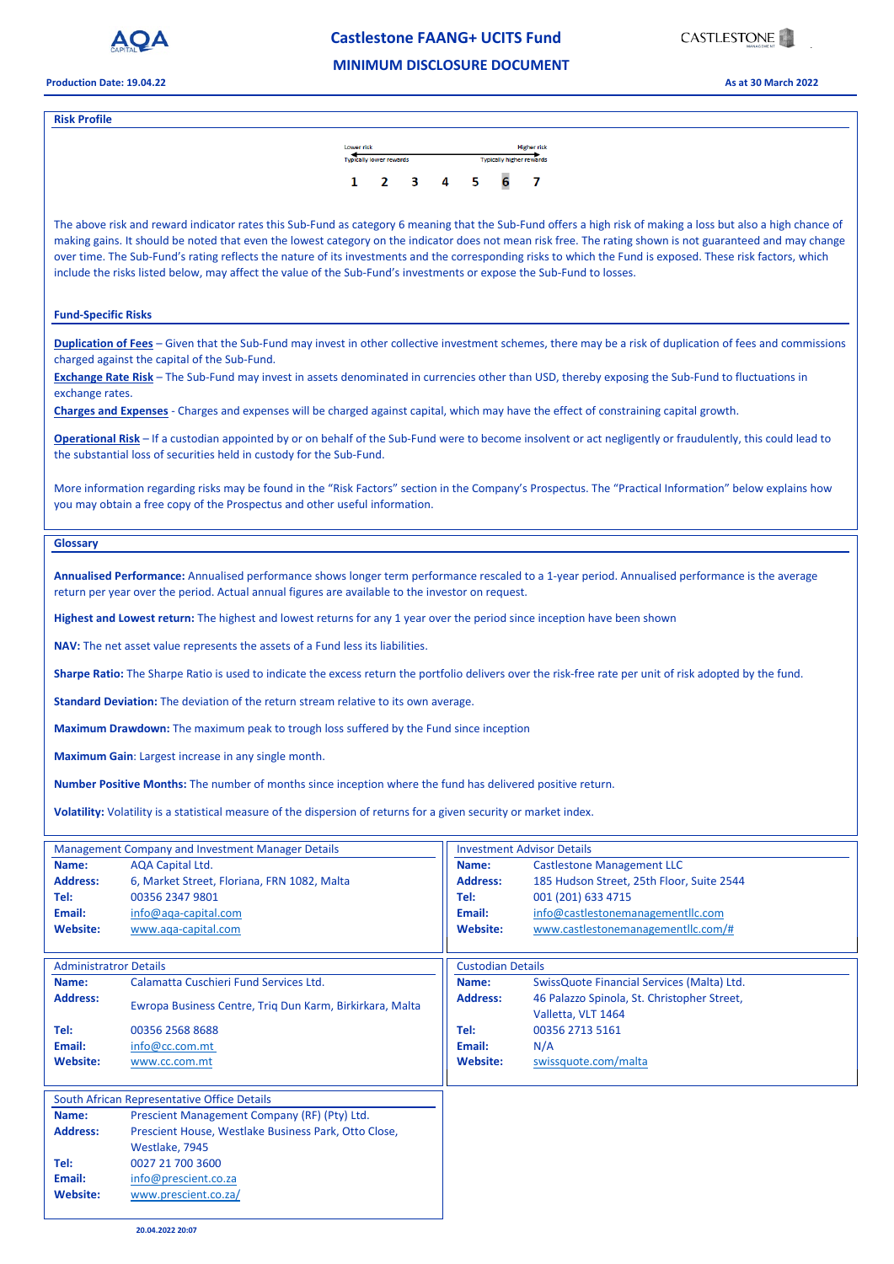

# **Castlestone FAANG+ UCITS Fund** .

## **MINIMUM DISCLOSURE DOCUMENT**

**Production Date: 19.04.22 As at 30 March 2022**

#### **Risk Profile**



The above risk and reward indicator rates this Sub-Fund as category 6 meaning that the Sub-Fund offers a high risk of making a loss but also a high chance of making gains. It should be noted that even the lowest category on the indicator does not mean risk free. The rating shown is not guaranteed and may change over time. The Sub-Fund's rating reflects the nature of its investments and the corresponding risks to which the Fund is exposed. These risk factors, which include the risks listed below, may affect the value of the Sub-Fund's investments or expose the Sub-Fund to losses.

## **Fund-Specific Risks**

**Duplication of Fees** – Given that the Sub-Fund may invest in other collective investment schemes, there may be a risk of duplication of fees and commissions charged against the capital of the Sub-Fund.

**Exchange Rate Risk** – The Sub-Fund may invest in assets denominated in currencies other than USD, thereby exposing the Sub-Fund to fluctuations in exchange rates.

**Charges and Expenses** - Charges and expenses will be charged against capital, which may have the effect of constraining capital growth.

**Operational Risk** – If a custodian appointed by or on behalf of the Sub-Fund were to become insolvent or act negligently or fraudulently, this could lead to the substantial loss of securities held in custody for the Sub-Fund.

More information regarding risks may be found in the "Risk Factors" section in the Company's Prospectus. The "Practical Information" below explains how you may obtain a free copy of the Prospectus and other useful information.

#### **Glossary**

**Annualised Performance:** Annualised performance shows longer term performance rescaled to a 1-year period. Annualised performance is the average return per year over the period. Actual annual figures are available to the investor on request.

**Highest and Lowest return:** The highest and lowest returns for any 1 year over the period since inception have been shown

**NAV:** The net asset value represents the assets of a Fund less its liabilities.

**Sharpe Ratio:** The Sharpe Ratio is used to indicate the excess return the portfolio delivers over the risk-free rate per unit of risk adopted by the fund.

**Standard Deviation:** The deviation of the return stream relative to its own average.

**Maximum Drawdown:** The maximum peak to trough loss suffered by the Fund since inception

**Maximum Gain**: Largest increase in any single month.

**Number Positive Months:** The number of months since inception where the fund has delivered positive return.

**Volatility:** Volatility is a statistical measure of the dispersion of returns for a given security or market index.

| <b>Management Company and Investment Manager Details</b> |                                                          | <b>Investment Advisor Details</b> |                                                                   |
|----------------------------------------------------------|----------------------------------------------------------|-----------------------------------|-------------------------------------------------------------------|
| Name:                                                    | AQA Capital Ltd.                                         | Name:                             | <b>Castlestone Management LLC</b>                                 |
| <b>Address:</b>                                          | 6, Market Street, Floriana, FRN 1082, Malta              | <b>Address:</b>                   | 185 Hudson Street, 25th Floor, Suite 2544                         |
| Tel:                                                     | 00356 2347 9801                                          | Tel:                              | 001 (201) 633 4715                                                |
| Email:                                                   | info@aga-capital.com                                     | Email:                            | info@castlestonemanagementllc.com                                 |
| Website:                                                 | www.aqa-capital.com                                      | Website:                          | www.castlestonemanagementllc.com/#                                |
| <b>Administratror Details</b>                            |                                                          | <b>Custodian Details</b>          |                                                                   |
| Name:                                                    | Calamatta Cuschieri Fund Services Ltd.                   | Name:                             | SwissQuote Financial Services (Malta) Ltd.                        |
| <b>Address:</b>                                          | Ewropa Business Centre, Triq Dun Karm, Birkirkara, Malta | <b>Address:</b>                   | 46 Palazzo Spinola, St. Christopher Street,<br>Valletta, VLT 1464 |
| Tel:                                                     | 00356 2568 8688                                          | Tel:                              | 00356 2713 5161                                                   |
| Email:                                                   | info@cc.com.mt                                           | Email:                            | N/A                                                               |
| <b>Website:</b>                                          | www.cc.com.mt                                            | <b>Website:</b>                   | swissquote.com/malta                                              |
| South African Representative Office Details              |                                                          |                                   |                                                                   |
| Name:                                                    | Prescient Management Company (RF) (Pty) Ltd.             |                                   |                                                                   |
| <b>Address:</b>                                          | Prescient House, Westlake Business Park, Otto Close,     |                                   |                                                                   |
|                                                          | Westlake, 7945                                           |                                   |                                                                   |
| Tel:                                                     | 0027 21 700 3600                                         |                                   |                                                                   |
| Email:                                                   | info@prescient.co.za                                     |                                   |                                                                   |
| Website:                                                 | www.prescient.co.za/                                     |                                   |                                                                   |
|                                                          |                                                          |                                   |                                                                   |